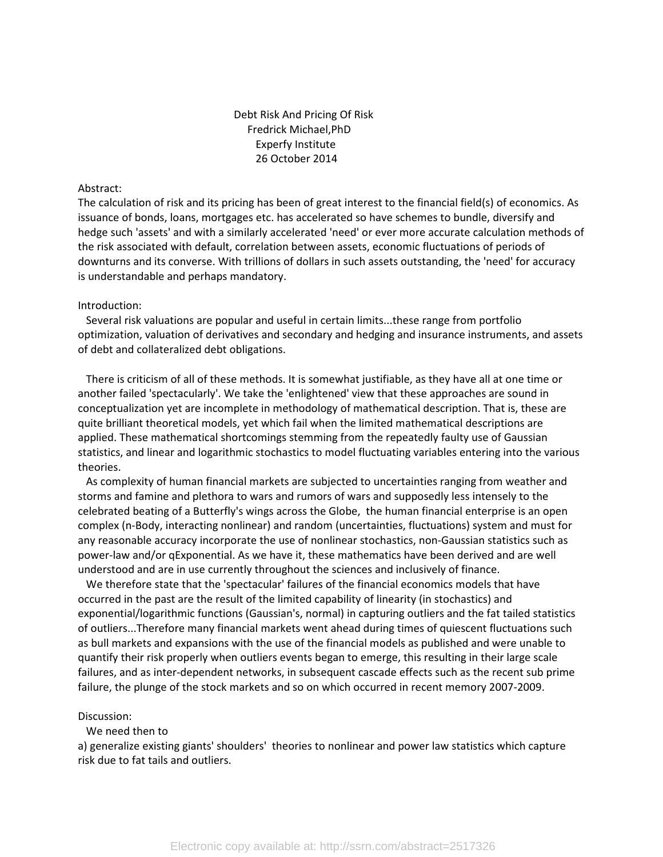# Debt Risk And Pricing Of Risk Fredrick Michael,PhD Experfy Institute 26 October 2014

### Abstract:

The calculation of risk and its pricing has been of great interest to the financial field(s) of economics. As issuance of bonds, loans, mortgages etc. has accelerated so have schemes to bundle, diversify and hedge such 'assets' and with a similarly accelerated 'need' or ever more accurate calculation methods of the risk associated with default, correlation between assets, economic fluctuations of periods of downturns and its converse. With trillions of dollars in such assets outstanding, the 'need' for accuracy is understandable and perhaps mandatory.

#### Introduction:

 Several risk valuations are popular and useful in certain limits...these range from portfolio optimization, valuation of derivatives and secondary and hedging and insurance instruments, and assets of debt and collateralized debt obligations.

 There is criticism of all of these methods. It is somewhat justifiable, as they have all at one time or another failed 'spectacularly'. We take the 'enlightened' view that these approaches are sound in conceptualization yet are incomplete in methodology of mathematical description. That is, these are quite brilliant theoretical models, yet which fail when the limited mathematical descriptions are applied. These mathematical shortcomings stemming from the repeatedly faulty use of Gaussian statistics, and linear and logarithmic stochastics to model fluctuating variables entering into the various theories.

 As complexity of human financial markets are subjected to uncertainties ranging from weather and storms and famine and plethora to wars and rumors of wars and supposedly less intensely to the celebrated beating of a Butterfly's wings across the Globe, the human financial enterprise is an open complex (n-Body, interacting nonlinear) and random (uncertainties, fluctuations) system and must for any reasonable accuracy incorporate the use of nonlinear stochastics, non-Gaussian statistics such as power-law and/or qExponential. As we have it, these mathematics have been derived and are well understood and are in use currently throughout the sciences and inclusively of finance.

 We therefore state that the 'spectacular' failures of the financial economics models that have occurred in the past are the result of the limited capability of linearity (in stochastics) and exponential/logarithmic functions (Gaussian's, normal) in capturing outliers and the fat tailed statistics of outliers...Therefore many financial markets went ahead during times of quiescent fluctuations such as bull markets and expansions with the use of the financial models as published and were unable to quantify their risk properly when outliers events began to emerge, this resulting in their large scale failures, and as inter-dependent networks, in subsequent cascade effects such as the recent sub prime failure, the plunge of the stock markets and so on which occurred in recent memory 2007-2009.

#### Discussion:

### We need then to

a) generalize existing giants' shoulders' theories to nonlinear and power law statistics which capture risk due to fat tails and outliers.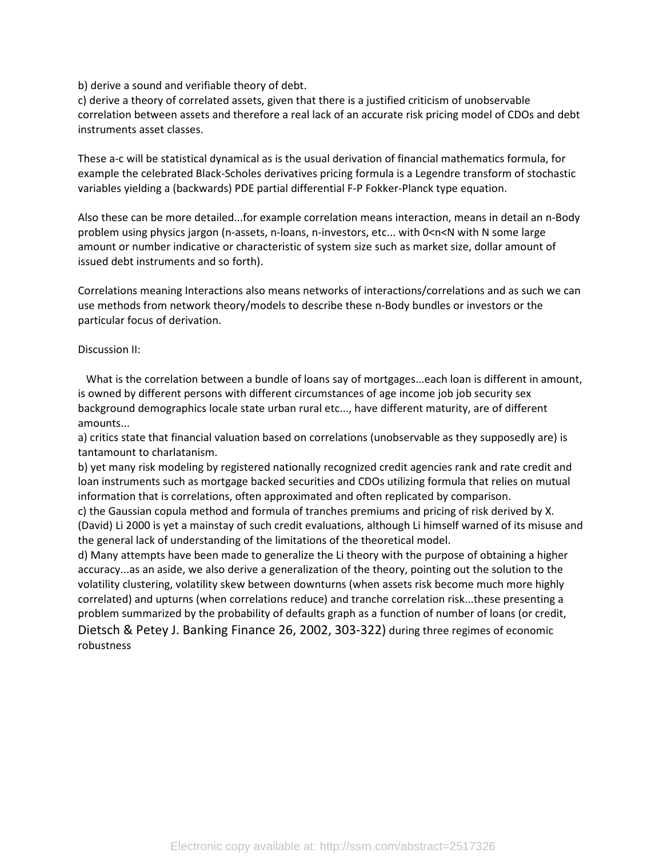b) derive a sound and verifiable theory of debt.

c) derive a theory of correlated assets, given that there is a justified criticism of unobservable correlation between assets and therefore a real lack of an accurate risk pricing model of CDOs and debt instruments asset classes.

These a-c will be statistical dynamical as is the usual derivation of financial mathematics formula, for example the celebrated Black-Scholes derivatives pricing formula is a Legendre transform of stochastic variables yielding a (backwards) PDE partial differential F-P Fokker-Planck type equation.

Also these can be more detailed...for example correlation means interaction, means in detail an n-Body problem using physics jargon (n-assets, n-loans, n-investors, etc... with 0<n<N with N some large amount or number indicative or characteristic of system size such as market size, dollar amount of issued debt instruments and so forth).

Correlations meaning Interactions also means networks of interactions/correlations and as such we can use methods from network theory/models to describe these n-Body bundles or investors or the particular focus of derivation.

### Discussion II:

 What is the correlation between a bundle of loans say of mortgages...each loan is different in amount, is owned by different persons with different circumstances of age income job job security sex background demographics locale state urban rural etc..., have different maturity, are of different amounts...

a) critics state that financial valuation based on correlations (unobservable as they supposedly are) is tantamount to charlatanism.

b) yet many risk modeling by registered nationally recognized credit agencies rank and rate credit and loan instruments such as mortgage backed securities and CDOs utilizing formula that relies on mutual information that is correlations, often approximated and often replicated by comparison.

c) the Gaussian copula method and formula of tranches premiums and pricing of risk derived by X. (David) Li 2000 is yet a mainstay of such credit evaluations, although Li himself warned of its misuse and the general lack of understanding of the limitations of the theoretical model.

d) Many attempts have been made to generalize the Li theory with the purpose of obtaining a higher accuracy...as an aside, we also derive a generalization of the theory, pointing out the solution to the volatility clustering, volatility skew between downturns (when assets risk become much more highly correlated) and upturns (when correlations reduce) and tranche correlation risk...these presenting a problem summarized by the probability of defaults graph as a function of number of loans (or credit, Dietsch & Petey J. Banking Finance 26, 2002, 303-322) during three regimes of economic robustness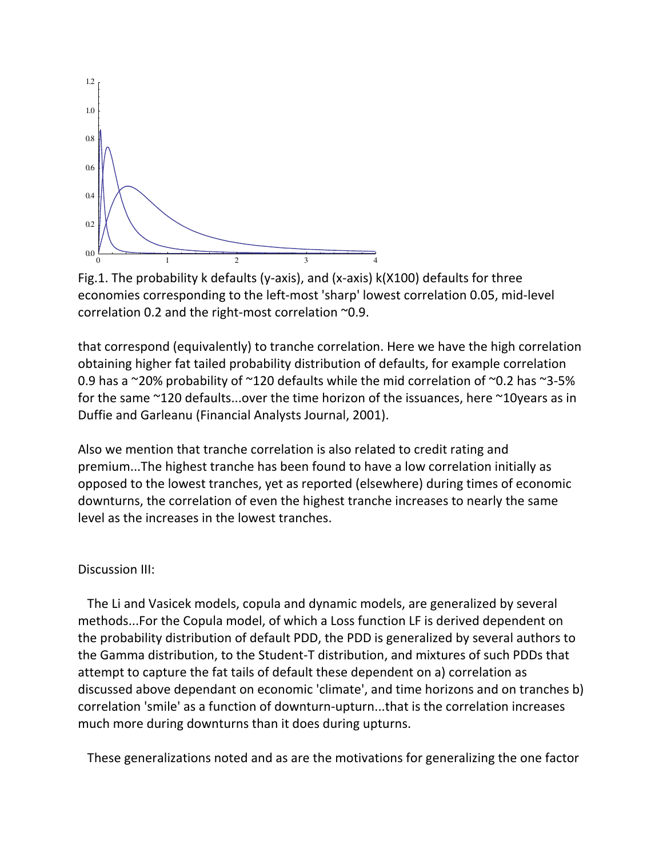

Fig.1. The probability k defaults (y-axis), and (x-axis) k(X100) defaults for three economies corresponding to the left-most 'sharp' lowest correlation 0.05, mid-level correlation 0.2 and the right-most correlation ~0.9.

that correspond (equivalently) to tranche correlation. Here we have the high correlation obtaining higher fat tailed probability distribution of defaults, for example correlation 0.9 has a  $\sim$ 20% probability of  $\sim$ 120 defaults while the mid correlation of  $\sim$ 0.2 has  $\sim$ 3-5% for the same ~120 defaults...over the time horizon of the issuances, here ~10years as in Duffie and Garleanu (Financial Analysts Journal, 2001).

Also we mention that tranche correlation is also related to credit rating and premium...The highest tranche has been found to have a low correlation initially as opposed to the lowest tranches, yet as reported (elsewhere) during times of economic downturns, the correlation of even the highest tranche increases to nearly the same level as the increases in the lowest tranches.

# Discussion III:

 The Li and Vasicek models, copula and dynamic models, are generalized by several methods...For the Copula model, of which a Loss function LF is derived dependent on the probability distribution of default PDD, the PDD is generalized by several authors to the Gamma distribution, to the Student-T distribution, and mixtures of such PDDs that attempt to capture the fat tails of default these dependent on a) correlation as discussed above dependant on economic 'climate', and time horizons and on tranches b) correlation 'smile' as a function of downturn-upturn...that is the correlation increases much more during downturns than it does during upturns.

These generalizations noted and as are the motivations for generalizing the one factor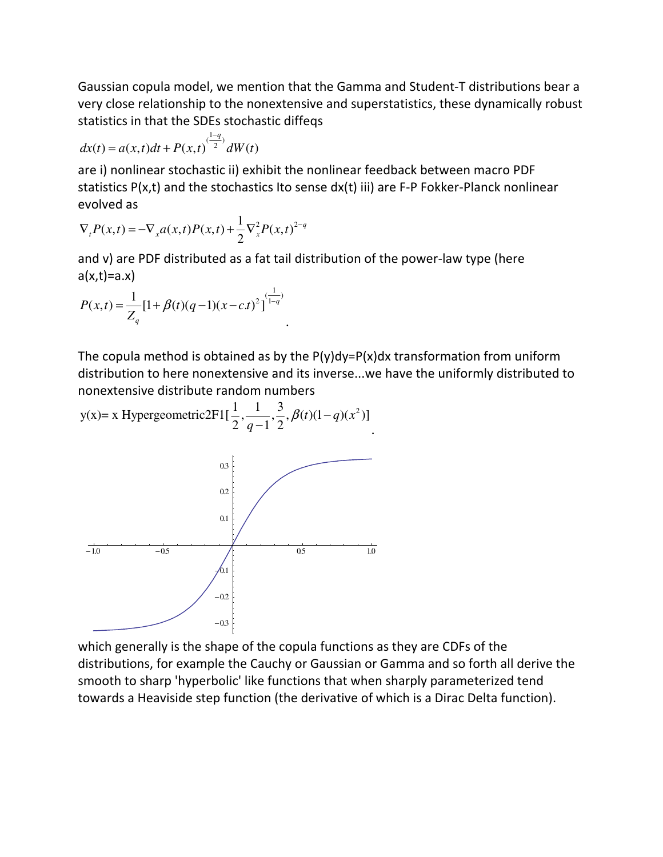Gaussian copula model, we mention that the Gamma and Student-T distributions bear a very close relationship to the nonextensive and superstatistics, these dynamically robust statistics in that the SDEs stochastic diffeqs

$$
dx(t) = a(x,t)dt + P(x,t)^{(\frac{1-q}{2})}dW(t)
$$

are i) nonlinear stochastic ii) exhibit the nonlinear feedback between macro PDF statistics P(x,t) and the stochastics Ito sense dx(t) iii) are F-P Fokker-Planck nonlinear evolved as

$$
\nabla_{t} P(x,t) = -\nabla_{x} a(x,t) P(x,t) + \frac{1}{2} \nabla_{x}^{2} P(x,t)^{2-q}
$$

and v) are PDF distributed as a fat tail distribution of the power-law type (here  $a(x,t)=a.x$ 

.

$$
P(x,t) = \frac{1}{Z_q} [1 + \beta(t)(q-1)(x - c.t)^2]^{(\frac{1}{1-q})}
$$

The copula method is obtained as by the  $P(y)dy = P(x)dx$  transformation from uniform distribution to here nonextensive and its inverse...we have the uniformly distributed to nonextensive distribute random numbers

y(x)= x Hypergeometric2F1[
$$
\frac{1}{2}, \frac{1}{q-1}, \frac{3}{2}, \beta(t)(1-q)(x^2)]
$$
  
\n  
\n0<sup>03</sup>  
\n0<sup>02</sup>  
\n0<sup>1</sup>  
\n0<sup>03</sup>  
\n0<sup>04</sup>  
\n0<sup>05</sup>  
\n1.0  
\n0<sup>1</sup>  
\n0<sup>1</sup>  
\n0<sup>05</sup>  
\n0<sup>1</sup>  
\n0<sup>0</sup>  
\n0<sup>0</sup>  
\n0<sup>0</sup>  
\n0<sup>0</sup>  
\n0<sup>0</sup>  
\n0<sup>0</sup>  
\n0<sup>0</sup>  
\n0<sup>0</sup>  
\n0<sup>0</sup>  
\n0<sup>0</sup>  
\n0<sup>0</sup>  
\n0<sup>0</sup>  
\n0<sup>0</sup>  
\n0<sup>0</sup>  
\n0<sup>0</sup>  
\n0<sup>0</sup>  
\n0<sup>0</sup>  
\n0<sup>0</sup>  
\n0<sup>0</sup>  
\n0<sup>0</sup>  
\n0<sup>0</sup>  
\n0<sup>0</sup>  
\n0<sup>0</sup>  
\n0<sup>0</sup>  
\n0<sup>0</sup>  
\n0<sup>0</sup>  
\n0<sup>0</sup>  
\n0<sup>0</sup>  
\n0<sup>0</sup>  
\n0<sup>0</sup>  
\n0<sup>0</sup>  
\n0<sup>0</sup>  
\n0<sup>0</sup>  
\n0<sup>0</sup>  
\n0<sup>0</sup>  
\n0<sup>0</sup>  
\n0<sup>0</sup>  
\n0<sup>0</sup>  
\n0<sup>0</sup>  
\n0<sup>0</sup>  
\n0<sup>0</sup>  
\n0<sup>0</sup>  
\n0<sup>0</sup>  
\n0<sup>0</sup>  
\n0<sup>0</sup>  
\n0<sup>0</sup>  
\n0<sup>0</sup>  
\n0<sup>0</sup>  
\n0<sup>0</sup>  
\n0<sup>0</sup>  
\n0<sup>0</sup>  
\n0<sup>0</sup>  
\n0<sup>0</sup>  
\n0

which generally is the shape of the copula functions as they are CDFs of the distributions, for example the Cauchy or Gaussian or Gamma and so forth all derive the smooth to sharp 'hyperbolic' like functions that when sharply parameterized tend towards a Heaviside step function (the derivative of which is a Dirac Delta function).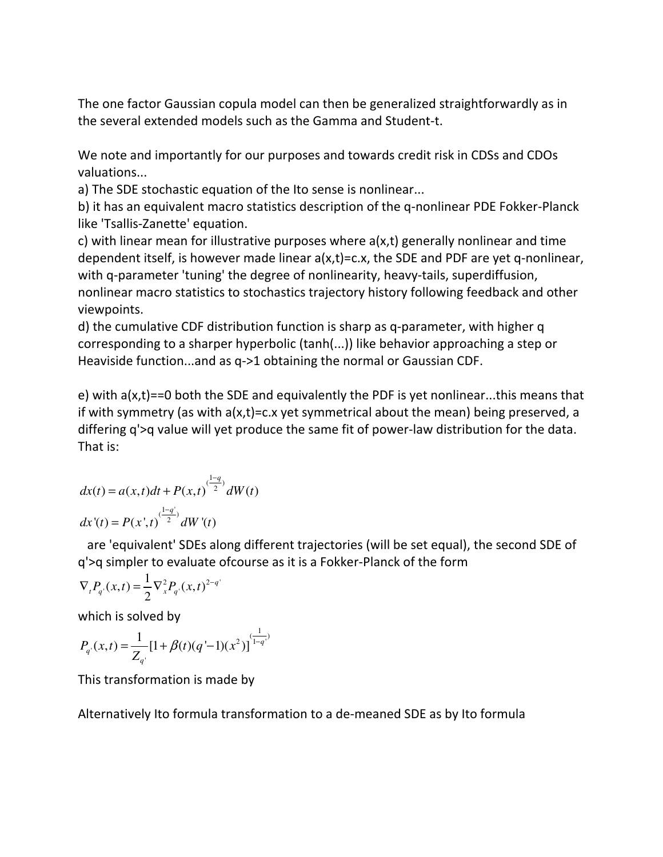The one factor Gaussian copula model can then be generalized straightforwardly as in the several extended models such as the Gamma and Student-t.

We note and importantly for our purposes and towards credit risk in CDSs and CDOs valuations...

a) The SDE stochastic equation of the Ito sense is nonlinear...

b) it has an equivalent macro statistics description of the q-nonlinear PDE Fokker-Planck like 'Tsallis-Zanette' equation.

c) with linear mean for illustrative purposes where a(x,t) generally nonlinear and time dependent itself, is however made linear a(x,t)=c.x, the SDE and PDF are yet q-nonlinear, with q-parameter 'tuning' the degree of nonlinearity, heavy-tails, superdiffusion, nonlinear macro statistics to stochastics trajectory history following feedback and other viewpoints.

d) the cumulative CDF distribution function is sharp as q-parameter, with higher q corresponding to a sharper hyperbolic (tanh(...)) like behavior approaching a step or Heaviside function...and as q->1 obtaining the normal or Gaussian CDF.

e) with a(x,t)==0 both the SDE and equivalently the PDF is yet nonlinear...this means that if with symmetry (as with  $a(x,t)=c.x$  yet symmetrical about the mean) being preserved, a differing q'>q value will yet produce the same fit of power-law distribution for the data. That is:

$$
dx(t) = a(x, t)dt + P(x, t)^{\frac{(1-q)}{2}}dW(t)
$$

$$
dx'(t) = P(x', t)^{\frac{(1-q')}{2}}dW'(t)
$$

 are 'equivalent' SDEs along different trajectories (will be set equal), the second SDE of q'>q simpler to evaluate ofcourse as it is a Fokker-Planck of the form

$$
\nabla_{t} P_{q}(x,t) = \frac{1}{2} \nabla_{x}^{2} P_{q}(x,t)^{2-q}
$$

which is solved by

$$
P_{q}(x,t) = \frac{1}{Z_{q}} [1 + \beta(t)(q'-1)(x^2)]^{\frac{1}{1-q}}.
$$

This transformation is made by

Alternatively Ito formula transformation to a de-meaned SDE as by Ito formula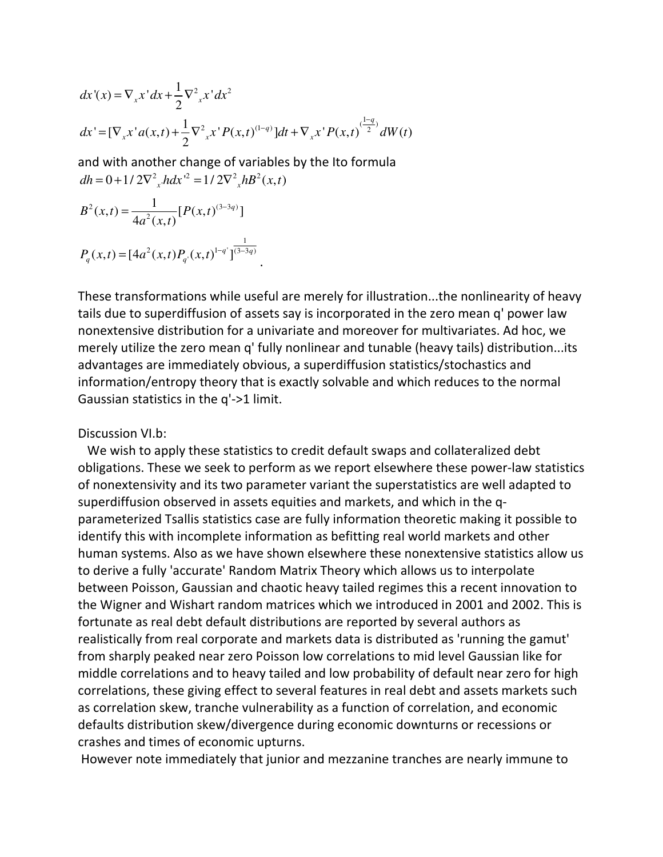$$
dx'(x) = \nabla_x x' dx + \frac{1}{2} \nabla_{x}^{2} x' dx^{2}
$$
  
\n
$$
dx' = [\nabla_x x' a(x, t) + \frac{1}{2} \nabla_{x}^{2} x' P(x, t)^{(1-q)}] dt + \nabla_x x' P(x, t)^{(\frac{1-q}{2})} dW(t)
$$

and with another change of variables by the Ito formula  $dh = 0 + 1/2\nabla^2_{x}h dx'^2 = 1/2\nabla^2_{x}hB^2(x,t)$ 

$$
B^{2}(x,t) = \frac{1}{4a^{2}(x,t)} [P(x,t)^{(3-3q)}]
$$
  

$$
P_{q}(x,t) = [4a^{2}(x,t)P_{q}(x,t)^{1-q}]^{\frac{1}{(3-3q)}}.
$$

These transformations while useful are merely for illustration...the nonlinearity of heavy tails due to superdiffusion of assets say is incorporated in the zero mean q' power law nonextensive distribution for a univariate and moreover for multivariates. Ad hoc, we merely utilize the zero mean q' fully nonlinear and tunable (heavy tails) distribution...its advantages are immediately obvious, a superdiffusion statistics/stochastics and information/entropy theory that is exactly solvable and which reduces to the normal Gaussian statistics in the q'->1 limit.

## Discussion VI.b:

 We wish to apply these statistics to credit default swaps and collateralized debt obligations. These we seek to perform as we report elsewhere these power-law statistics of nonextensivity and its two parameter variant the superstatistics are well adapted to superdiffusion observed in assets equities and markets, and which in the qparameterized Tsallis statistics case are fully information theoretic making it possible to identify this with incomplete information as befitting real world markets and other human systems. Also as we have shown elsewhere these nonextensive statistics allow us to derive a fully 'accurate' Random Matrix Theory which allows us to interpolate between Poisson, Gaussian and chaotic heavy tailed regimes this a recent innovation to the Wigner and Wishart random matrices which we introduced in 2001 and 2002. This is fortunate as real debt default distributions are reported by several authors as realistically from real corporate and markets data is distributed as 'running the gamut' from sharply peaked near zero Poisson low correlations to mid level Gaussian like for middle correlations and to heavy tailed and low probability of default near zero for high correlations, these giving effect to several features in real debt and assets markets such as correlation skew, tranche vulnerability as a function of correlation, and economic defaults distribution skew/divergence during economic downturns or recessions or crashes and times of economic upturns.

However note immediately that junior and mezzanine tranches are nearly immune to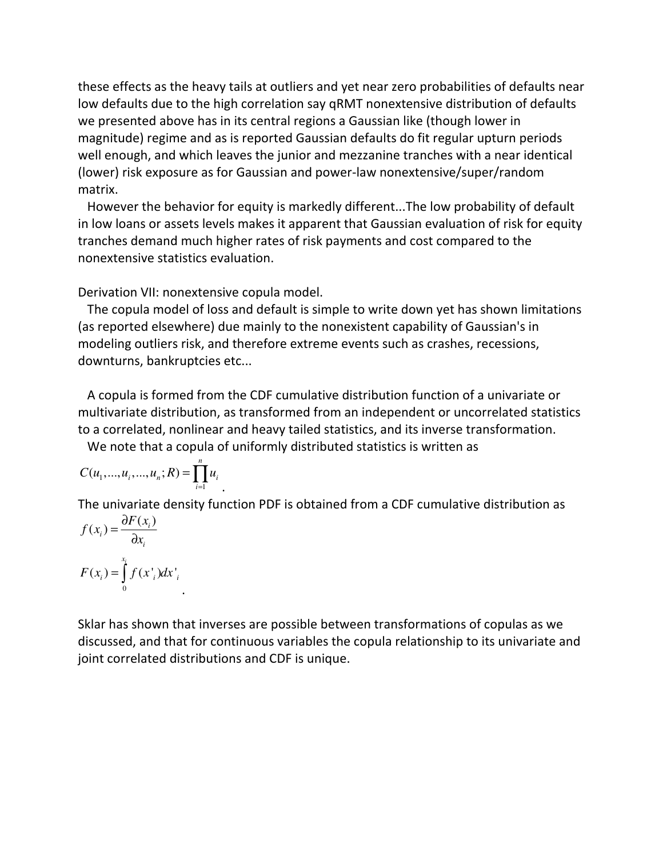these effects as the heavy tails at outliers and yet near zero probabilities of defaults near low defaults due to the high correlation say qRMT nonextensive distribution of defaults we presented above has in its central regions a Gaussian like (though lower in magnitude) regime and as is reported Gaussian defaults do fit regular upturn periods well enough, and which leaves the junior and mezzanine tranches with a near identical (lower) risk exposure as for Gaussian and power-law nonextensive/super/random matrix.

 However the behavior for equity is markedly different...The low probability of default in low loans or assets levels makes it apparent that Gaussian evaluation of risk for equity tranches demand much higher rates of risk payments and cost compared to the nonextensive statistics evaluation.

Derivation VII: nonextensive copula model.

 The copula model of loss and default is simple to write down yet has shown limitations (as reported elsewhere) due mainly to the nonexistent capability of Gaussian's in modeling outliers risk, and therefore extreme events such as crashes, recessions, downturns, bankruptcies etc...

 A copula is formed from the CDF cumulative distribution function of a univariate or multivariate distribution, as transformed from an independent or uncorrelated statistics to a correlated, nonlinear and heavy tailed statistics, and its inverse transformation.

We note that a copula of uniformly distributed statistics is written as

$$
C(u_1,...,u_i,...,u_n;R) = \prod_{i=1}^n u_i
$$

The univariate density function PDF is obtained from a CDF cumulative distribution as

$$
f(x_i) = \frac{\partial F(x_i)}{\partial x_i}
$$

$$
F(x_i) = \int_0^{x_i} f(x_i) dx_i
$$

Sklar has shown that inverses are possible between transformations of copulas as we discussed, and that for continuous variables the copula relationship to its univariate and joint correlated distributions and CDF is unique.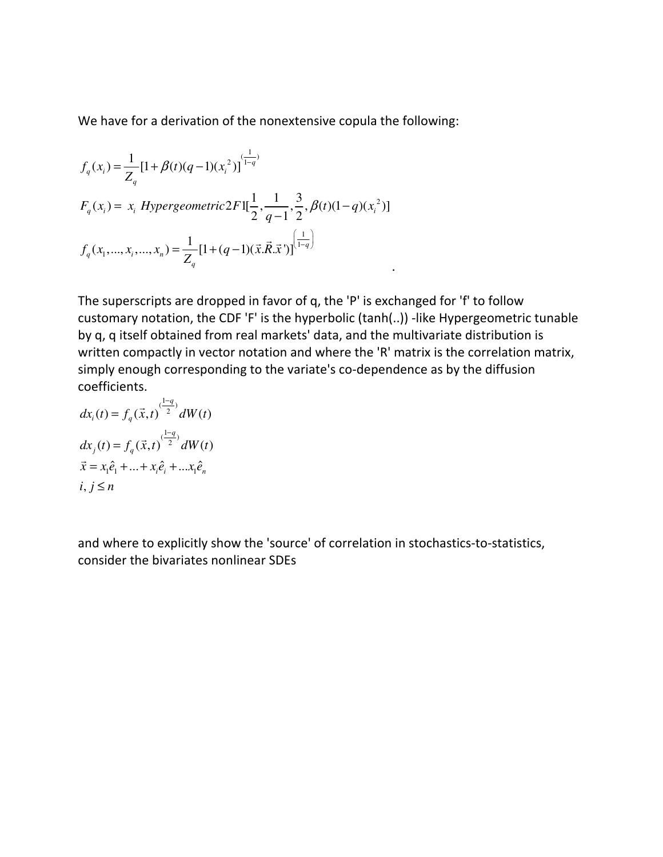We have for a derivation of the nonextensive copula the following:

$$
f_q(x_i) = \frac{1}{Z_q} [1 + \beta(t)(q-1)(x_i^2)]^{\frac{1}{1-q}}
$$
  
\n
$$
F_q(x_i) = x_i \ Hypergeometric 2F1[\frac{1}{2}, \frac{1}{q-1}, \frac{3}{2}, \beta(t)(1-q)(x_i^2)]
$$
  
\n
$$
f_q(x_1, ..., x_i, ..., x_n) = \frac{1}{Z_q} [1 + (q-1)(\vec{x} \cdot \vec{R} \cdot \vec{x}^{\prime})]^{\frac{1}{1-q}}
$$

The superscripts are dropped in favor of q, the 'P' is exchanged for 'f' to follow customary notation, the CDF 'F' is the hyperbolic (tanh(..)) -like Hypergeometric tunable by q, q itself obtained from real markets' data, and the multivariate distribution is written compactly in vector notation and where the 'R' matrix is the correlation matrix, simply enough corresponding to the variate's co-dependence as by the diffusion coefficients.

$$
dx_i(t) = f_q(\vec{x}, t)^{\frac{1-q}{2}} dW(t)
$$
  
\n
$$
dx_j(t) = f_q(\vec{x}, t)^{\frac{1-q}{2}} dW(t)
$$
  
\n
$$
\vec{x} = x_1 \hat{e}_1 + ... + x_i \hat{e}_i + ... x_1 \hat{e}_n
$$
  
\n
$$
i, j \le n
$$

and where to explicitly show the 'source' of correlation in stochastics-to-statistics, consider the bivariates nonlinear SDEs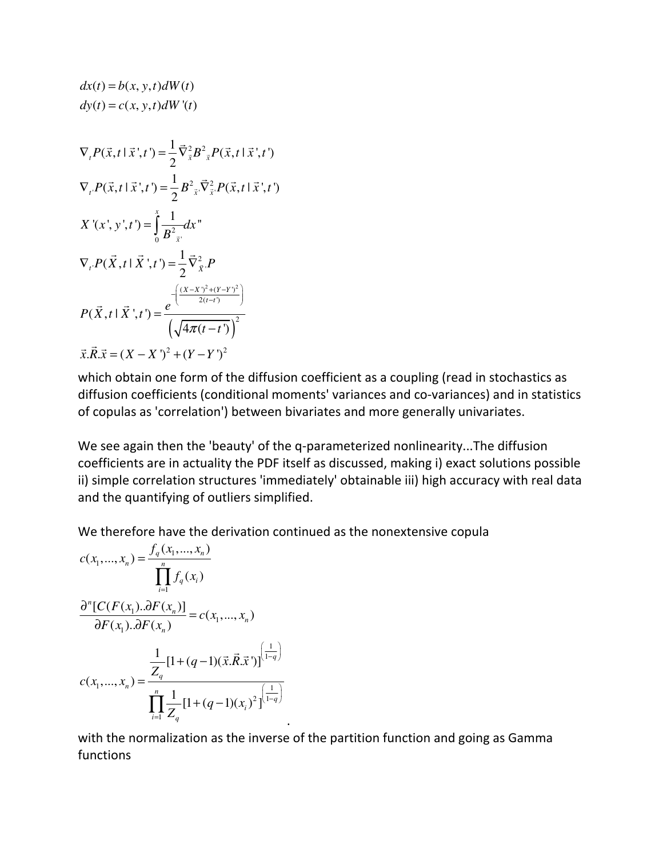$$
dx(t) = b(x, y, t)dW(t)
$$
  
\n
$$
dy(t) = c(x, y, t)dW'(t)
$$
  
\n
$$
\nabla_{t}P(\vec{x}, t | \vec{x}', t') = \frac{1}{2}\vec{\nabla}_{\vec{x}}^{2}B^{2}{}_{\vec{x}}P(\vec{x}, t | \vec{x}', t')
$$
  
\n
$$
\nabla_{t}P(\vec{x}, t | \vec{x}', t') = \frac{1}{2}B^{2}{}_{\vec{x}}\vec{\nabla}_{\vec{x}}^{2}P(\vec{x}, t | \vec{x}', t')
$$
  
\n
$$
X'(x', y', t') = \int_{0}^{x} \frac{1}{B^{2}{}_{\vec{x}'}}dx''
$$
  
\n
$$
\nabla_{t}P(\vec{X}, t | \vec{X}', t') = \frac{1}{2}\vec{\nabla}_{\vec{X}}^{2}P
$$
  
\n
$$
P(\vec{X}, t | \vec{X}', t') = \frac{e^{-\left(\frac{(X - X')^{2} + (Y - Y)^{2}}{2(t - t)}\right)}}{\left(\sqrt{4\pi(t - t')}\right)^{2}}
$$
  
\n
$$
\vec{x}. \vec{R}. \vec{x} = (X - X')^{2} + (Y - Y')^{2}
$$

which obtain one form of the diffusion coefficient as a coupling (read in stochastics as diffusion coefficients (conditional moments' variances and co-variances) and in statistics of copulas as 'correlation') between bivariates and more generally univariates.

We see again then the 'beauty' of the q-parameterized nonlinearity...The diffusion coefficients are in actuality the PDF itself as discussed, making i) exact solutions possible ii) simple correlation structures 'immediately' obtainable iii) high accuracy with real data and the quantifying of outliers simplified.

We therefore have the derivation continued as the nonextensive copula

$$
c(x_1,...,x_n) = \frac{f_q(x_1,...,x_n)}{\prod_{i=1}^n f_q(x_i)}
$$

$$
\frac{\partial^n [C(F(x_1)..\partial F(x_n)]}{\partial F(x_1)..\partial F(x_n)} = c(x_1,...,x_n)
$$

$$
c(x_1,...,x_n) = \frac{\frac{1}{Z_q} [1 + (q-1)(\vec{x}.\vec{R}.\vec{x}')]^{(\frac{1}{1-q})}}{\prod_{i=1}^n \frac{1}{Z_q} [1 + (q-1)(x_i)^2]^{(\frac{1}{1-q})}}
$$

with the normalization as the inverse of the partition function and going as Gamma functions

.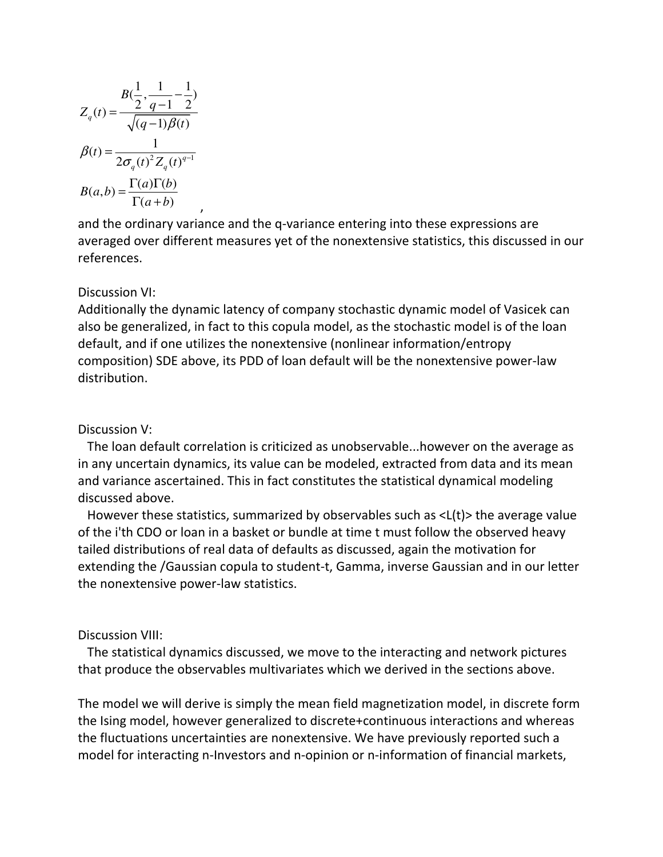$$
B(\frac{1}{2}, \frac{1}{q-1} - \frac{1}{2})
$$

$$
Z_q(t) = \frac{\sqrt{(q-1)\beta(t)}}{\sqrt{(q-1)\beta(t)}}
$$

$$
\beta(t) = \frac{1}{2\sigma_q(t)^2 Z_q(t)^{q-1}}
$$

$$
B(a,b) = \frac{\Gamma(a)\Gamma(b)}{\Gamma(a+b)}
$$

and the ordinary variance and the q-variance entering into these expressions are averaged over different measures yet of the nonextensive statistics, this discussed in our references.

# Discussion VI:

Additionally the dynamic latency of company stochastic dynamic model of Vasicek can also be generalized, in fact to this copula model, as the stochastic model is of the loan default, and if one utilizes the nonextensive (nonlinear information/entropy composition) SDE above, its PDD of loan default will be the nonextensive power-law distribution.

# Discussion V:

 The loan default correlation is criticized as unobservable...however on the average as in any uncertain dynamics, its value can be modeled, extracted from data and its mean and variance ascertained. This in fact constitutes the statistical dynamical modeling discussed above.

 However these statistics, summarized by observables such as <L(t)> the average value of the i'th CDO or loan in a basket or bundle at time t must follow the observed heavy tailed distributions of real data of defaults as discussed, again the motivation for extending the /Gaussian copula to student-t, Gamma, inverse Gaussian and in our letter the nonextensive power-law statistics.

## Discussion VIII:

 The statistical dynamics discussed, we move to the interacting and network pictures that produce the observables multivariates which we derived in the sections above.

The model we will derive is simply the mean field magnetization model, in discrete form the Ising model, however generalized to discrete+continuous interactions and whereas the fluctuations uncertainties are nonextensive. We have previously reported such a model for interacting n-Investors and n-opinion or n-information of financial markets,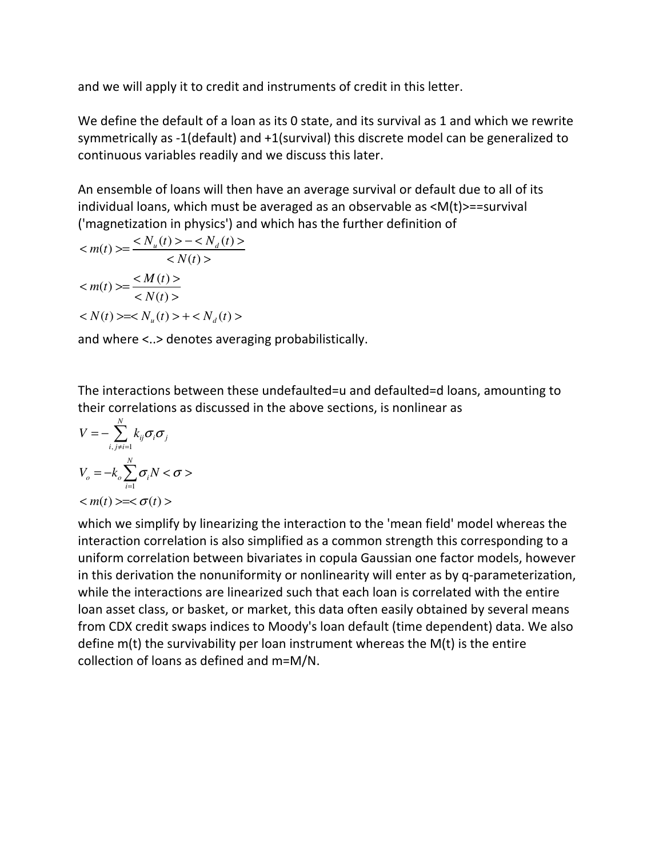and we will apply it to credit and instruments of credit in this letter.

We define the default of a loan as its 0 state, and its survival as 1 and which we rewrite symmetrically as -1(default) and +1(survival) this discrete model can be generalized to continuous variables readily and we discuss this later.

An ensemble of loans will then have an average survival or default due to all of its individual loans, which must be averaged as an observable as <M(t)>==survival ('magnetization in physics') and which has the further definition of

$$
\langle m(t) \rangle = \frac{\langle N_u(t) \rangle - \langle N_d(t) \rangle}{\langle N(t) \rangle}
$$
  

$$
\langle m(t) \rangle = \frac{\langle M(t) \rangle}{\langle N(t) \rangle}
$$
  

$$
\langle N(t) \rangle = \langle N_u(t) \rangle + \langle N_d(t) \rangle
$$

and where <..> denotes averaging probabilistically.

The interactions between these undefaulted=u and defaulted=d loans, amounting to their correlations as discussed in the above sections, is nonlinear as

$$
V = -\sum_{i,j\neq i=1}^{N} k_{ij} \sigma_i \sigma_j
$$
  

$$
V_o = -k_o \sum_{i=1}^{N} \sigma_i N < \sigma >
$$
  

$$
=<\sigma(t)>
$$

which we simplify by linearizing the interaction to the 'mean field' model whereas the interaction correlation is also simplified as a common strength this corresponding to a uniform correlation between bivariates in copula Gaussian one factor models, however in this derivation the nonuniformity or nonlinearity will enter as by q-parameterization, while the interactions are linearized such that each loan is correlated with the entire loan asset class, or basket, or market, this data often easily obtained by several means from CDX credit swaps indices to Moody's loan default (time dependent) data. We also define m(t) the survivability per loan instrument whereas the M(t) is the entire collection of loans as defined and m=M/N.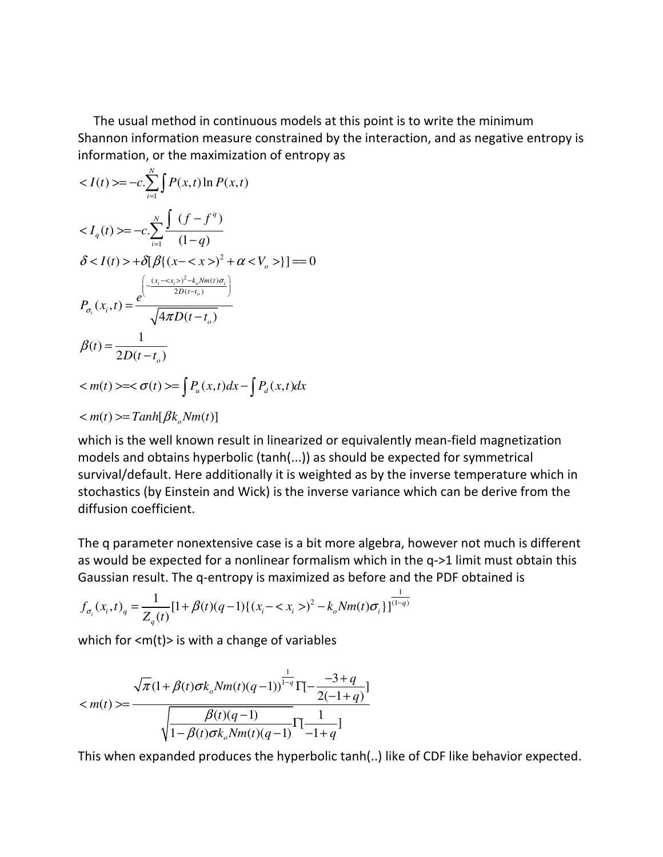The usual method in continuous models at this point is to write the minimum Shannon information measure constrained by the interaction, and as negative entropy is information, or the maximization of entropy as

$$
\langle I(t) \rangle = -c \sum_{i=1}^{N} \int P(x,t) \ln P(x,t)
$$
  
\n
$$
\langle I_q(t) \rangle = -c \sum_{i=1}^{N} \frac{\int (f - f^q)}{(1 - q)}
$$
  
\n
$$
\delta \langle I(t) \rangle + \delta [\beta \{ (x - \langle x \rangle)^2 + \alpha \langle V_o \rangle \}] = 0
$$
  
\n
$$
P_{\sigma_i}(x_i, t) = \frac{e^{-\frac{(x_i - \langle x_i \rangle)^2 - k_o N_m(t) \sigma_i}{2D(t - t_o)}}}{\sqrt{4\pi D(t - t_o)}}
$$
  
\n
$$
\beta(t) = \frac{1}{2D(t - t_o)}
$$
  
\n
$$
\langle m(t) \rangle = \langle \sigma(t) \rangle = \int P_u(x, t) dx - \int P_d(x, t) dx
$$
  
\n
$$
\langle m(t) \rangle = \langle Tanh[\beta k_o N_m(t)]
$$

which is the well known result in linearized or equivalently mean-field magnetization models and obtains hyperbolic (tanh(...)) as should be expected for symmetrical survival/default. Here additionally it is weighted as by the inverse temperature which in stochastics (by Einstein and Wick) is the inverse variance which can be derive from the diffusion coefficient.

The q parameter nonextensive case is a bit more algebra, however not much is different as would be expected for a nonlinear formalism which in the q->1 limit must obtain this Gaussian result. The q-entropy is maximized as before and the PDF obtained is

$$
f_{\sigma_i}(x_i, t)_q = \frac{1}{Z_q(t)} [1 + \beta(t)(q-1) \{ (x_i - \langle x_i \rangle)^2 - k_o N m(t) \sigma_i \}]^{\frac{1}{(1-q)}}
$$

which for  $\langle m(t) \rangle$  is with a change of variables

$$
\langle m(t) \rangle = \frac{\sqrt{\pi} (1 + \beta(t)\sigma k_o N m(t) (q-1))^{1-q}}{\sqrt{\frac{\beta(t)(q-1)}{1 - \beta(t)\sigma k_o N m(t) (q-1)}} \Gamma[\frac{1}{-1+q}]}
$$

This when expanded produces the hyperbolic tanh(..) like of CDF like behavior expected.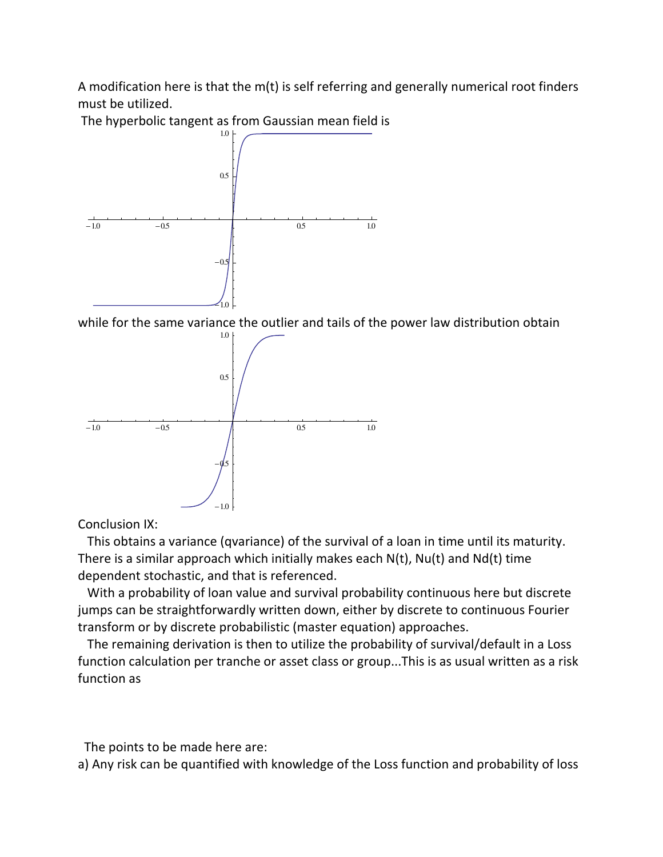A modification here is that the m(t) is self referring and generally numerical root finders must be utilized.

The hyperbolic tangent as from Gaussian mean field is



while for the same variance the outlier and tails of the power law distribution obtain



Conclusion IX:

 This obtains a variance (qvariance) of the survival of a loan in time until its maturity. There is a similar approach which initially makes each N(t), Nu(t) and Nd(t) time dependent stochastic, and that is referenced.

 With a probability of loan value and survival probability continuous here but discrete jumps can be straightforwardly written down, either by discrete to continuous Fourier transform or by discrete probabilistic (master equation) approaches.

 The remaining derivation is then to utilize the probability of survival/default in a Loss function calculation per tranche or asset class or group...This is as usual written as a risk function as

The points to be made here are:

a) Any risk can be quantified with knowledge of the Loss function and probability of loss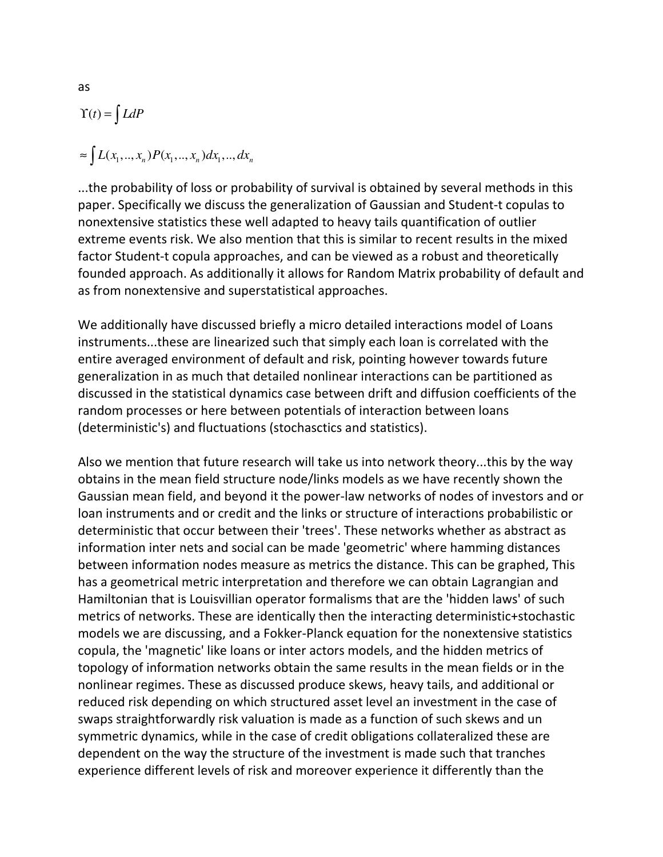$$
\begin{aligned} \Upsilon(t) &= \int L dP \\ &\approx \int L(x_1, \dots, x_n) P(x_1, \dots, x_n) dx_1, \dots, dx_n \end{aligned}
$$

...the probability of loss or probability of survival is obtained by several methods in this paper. Specifically we discuss the generalization of Gaussian and Student-t copulas to nonextensive statistics these well adapted to heavy tails quantification of outlier extreme events risk. We also mention that this is similar to recent results in the mixed factor Student-t copula approaches, and can be viewed as a robust and theoretically founded approach. As additionally it allows for Random Matrix probability of default and as from nonextensive and superstatistical approaches.

We additionally have discussed briefly a micro detailed interactions model of Loans instruments...these are linearized such that simply each loan is correlated with the entire averaged environment of default and risk, pointing however towards future generalization in as much that detailed nonlinear interactions can be partitioned as discussed in the statistical dynamics case between drift and diffusion coefficients of the random processes or here between potentials of interaction between loans (deterministic's) and fluctuations (stochasctics and statistics).

Also we mention that future research will take us into network theory...this by the way obtains in the mean field structure node/links models as we have recently shown the Gaussian mean field, and beyond it the power-law networks of nodes of investors and or loan instruments and or credit and the links or structure of interactions probabilistic or deterministic that occur between their 'trees'. These networks whether as abstract as information inter nets and social can be made 'geometric' where hamming distances between information nodes measure as metrics the distance. This can be graphed, This has a geometrical metric interpretation and therefore we can obtain Lagrangian and Hamiltonian that is Louisvillian operator formalisms that are the 'hidden laws' of such metrics of networks. These are identically then the interacting deterministic+stochastic models we are discussing, and a Fokker-Planck equation for the nonextensive statistics copula, the 'magnetic' like loans or inter actors models, and the hidden metrics of topology of information networks obtain the same results in the mean fields or in the nonlinear regimes. These as discussed produce skews, heavy tails, and additional or reduced risk depending on which structured asset level an investment in the case of swaps straightforwardly risk valuation is made as a function of such skews and un symmetric dynamics, while in the case of credit obligations collateralized these are dependent on the way the structure of the investment is made such that tranches experience different levels of risk and moreover experience it differently than the